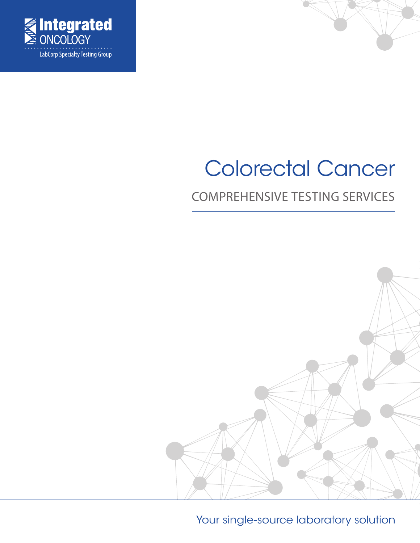

# Colorectal Cancer

# COMPREHENSIVE TESTING SERVICES



Your single-source laboratory solution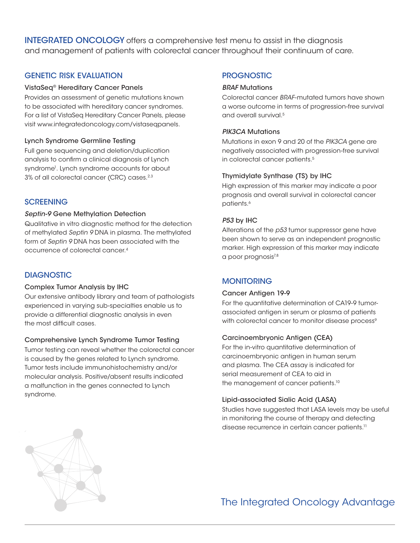INTEGRATED ONCOLOGY offers a comprehensive test menu to assist in the diagnosis and management of patients with colorectal cancer throughout their continuum of care.

# GENETIC RISK EVALUATION

#### VistaSeq® Hereditary Cancer Panels

Provides an assessment of genetic mutations known to be associated with hereditary cancer syndromes. For a list of VistaSeq Hereditary Cancer Panels, please visit www.integratedoncology.com/vistaseqpanels.

#### Lynch Syndrome Germline Testing

Full gene sequencing and deletion/duplication analysis to confirm a clinical diagnosis of Lynch syndrome1 . Lynch syndrome accounts for about 3% of all colorectal cancer (CRC) cases.<sup>2,3</sup>

#### **SCREENING**

#### *Septin-9* Gene Methylation Detection

Qualitative in vitro diagnostic method for the detection of methylated *Septin 9* DNA in plasma. The methylated form of *Septin 9* DNA has been associated with the occurrence of colorectal cancer.4

## DIAGNOSTIC

#### Complex Tumor Analysis by IHC

Our extensive antibody library and team of pathologists experienced in varying sub-specialties enable us to provide a differential diagnostic analysis in even the most difficult cases.

#### Comprehensive Lynch Syndrome Tumor Testing

Tumor testing can reveal whether the colorectal cancer is caused by the genes related to Lynch syndrome. Tumor tests include immunohistochemistry and/or molecular analysis. Positive/absent results indicated a malfunction in the genes connected to Lynch syndrome.

#### PROGNOSTIC

#### *BRAF* Mutations

Colorectal cancer *BRAF*-mutated tumors have shown a worse outcome in terms of progression-free survival and overall survival.<sup>5</sup>

#### *PIK3CA* Mutations

Mutations in exon 9 and 20 of the *PIK3CA* gene are negatively associated with progression-free survival in colorectal cancer patients.<sup>5</sup>

#### Thymidylate Synthase (TS) by IHC

High expression of this marker may indicate a poor prognosis and overall survival in colorectal cancer patients.<sup>6</sup>

#### *P53* by IHC

Alterations of the *p53* tumor suppressor gene have been shown to serve as an independent prognostic marker. High expression of this marker may indicate  $a$  poor prognosis $^{7,8}$ 

## **MONITORING**

#### Cancer Antigen 19-9

For the quantitative determination of CA19-9 tumorassociated antigen in serum or plasma of patients with colorectal cancer to monitor disease process<sup>9</sup>

#### Carcinoembryonic Antigen (CEA)

For the in-vitro quantitative determination of carcinoembryonic antigen in human serum and plasma. The CEA assay is indicated for serial measurement of CEA to aid in the management of cancer patients.10

#### Lipid-associated Sialic Acid (LASA)

Studies have suggested that LASA levels may be useful in monitoring the course of therapy and detecting disease recurrence in certain cancer patients.<sup>11</sup>



# The Integrated Oncology Advantage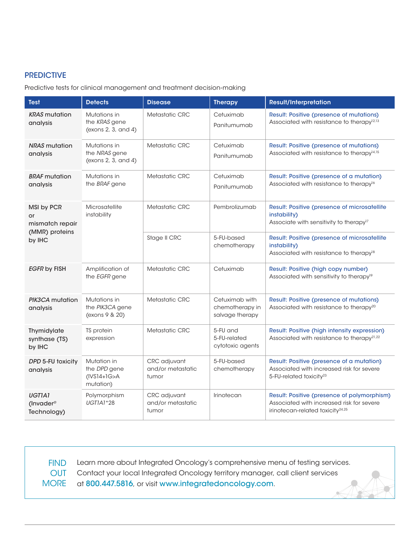# **PREDICTIVE**

Predictive tests for clinical management and treatment decision-making

| <b>Test</b>                                                     | <b>Detects</b>                                             | <b>Disease</b>                             | Therapy                                              | <b>Result/Interpretation</b>                                                                                                             |
|-----------------------------------------------------------------|------------------------------------------------------------|--------------------------------------------|------------------------------------------------------|------------------------------------------------------------------------------------------------------------------------------------------|
| <b>KRAS</b> mutation<br>analysis                                | Mutations in<br>the KRAS gene<br>(exons 2, 3, and 4)       | <b>Metastatic CRC</b>                      | Cetuximab<br>Panitumumab                             | Result: Positive (presence of mutations)<br>Associated with resistance to therapy <sup>12,13</sup>                                       |
| <b>NRAS</b> mutation<br>analysis                                | Mutations in<br>the NRAS gene<br>(exons 2, 3, and 4)       | <b>Metastatic CRC</b>                      | Cetuximab<br>Panitumumab                             | Result: Positive (presence of mutations)<br>Associated with resistance to therapy <sup>14,15</sup>                                       |
| <b>BRAF</b> mutation<br>analysis                                | Mutations in<br>the BRAF gene                              | Metastatic CRC                             | Cetuximab<br>Panitumumab                             | Result: Positive (presence of a mutation)<br>Associated with resistance to therapy <sup>16</sup>                                         |
| MSI by PCR<br>or<br>mismatch repair<br>(MMR) proteins<br>by IHC | Microsatellite<br>instability                              | <b>Metastatic CRC</b>                      | Pembrolizumab                                        | Result: Positive (presence of microsatellite<br>instability)<br>Associate with sensitivity to therapy <sup>17</sup>                      |
|                                                                 |                                                            | Stage II CRC                               | 5-FU-based<br>chemotherapy                           | Result: Positive (presence of microsatellite<br>instability)<br>Associated with resistance to therapy <sup>18</sup>                      |
| <b>EGFR by FISH</b>                                             | Amplification of<br>the EGFR gene                          | <b>Metastatic CRC</b>                      | Cetuximab                                            | Result: Positive (high copy number)<br>Associated with sensitivity to therapy <sup>19</sup>                                              |
| PIK3CA mutation<br>analysis                                     | Mutations in<br>the PIK3CA gene<br>(exons 9 & 20)          | <b>Metastatic CRC</b>                      | Cetuximab with<br>chemotherapy in<br>salvage therapy | Result: Positive (presence of mutations)<br>Associated with resistance to therapy <sup>20</sup>                                          |
| Thymidylate<br>synthase (TS)<br>by IHC                          | TS protein<br>expression                                   | <b>Metastatic CRC</b>                      | 5-FU and<br>5-FU-related<br>cytotoxic agents         | Result: Positive (high intensity expression)<br>Associated with resistance to therapy <sup>21,22</sup>                                   |
| DPD 5-FU toxicity<br>analysis                                   | Mutation in<br>the DPD gene<br>$(IVS14+IG>A)$<br>mutation) | CRC adjuvant<br>and/or metastatic<br>tumor | 5-FU-based<br>chemotherapy                           | Result: Positive (presence of a mutation)<br>Associated with increased risk for severe<br>5-FU-related toxicity <sup>23</sup>            |
| <b>UGTIA1</b><br>(Invader®<br>Technology)                       | Polymorphism<br>UGT1A1*28                                  | CRC adjuvant<br>and/or metastatic<br>tumor | Irinotecan                                           | Result: Positive (presence of polymorphism)<br>Associated with increased risk for severe<br>irinotecan-related toxicity <sup>24,25</sup> |

Learn more about Integrated Oncology's comprehensive menu of testing services. FIND

Contact your local Integrated Oncology territory manager, call client services **OUT** 

at 800.447.5816, or visit www.integratedoncology.com.

**MORE**